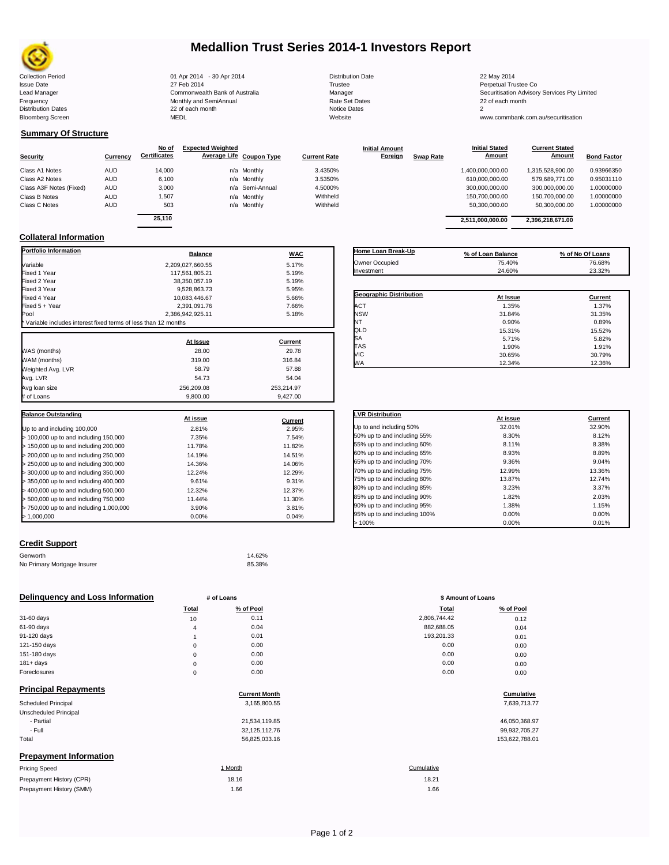

# **Medallion Trust Series 2014-1 Investors Report**

| <b>Collection Period</b>  | 01 Apr 2014 - 30 Apr 2014      | <b>Distribution Date</b> | 22 May 2014                             |
|---------------------------|--------------------------------|--------------------------|-----------------------------------------|
| <b>Issue Date</b>         | 27 Feb 2014                    | Trustee                  | Perpetual Trustee Co                    |
| Lead Manager              | Commonwealth Bank of Australia | Manager                  | Securitisation Advisory Services Pty Li |
| Frequency                 | Monthly and SemiAnnual         | <b>Rate Set Dates</b>    | 22 of each month                        |
| <b>Distribution Dates</b> | 22 of each month               | Notice Dates             |                                         |
| <b>Bloomberg Screen</b>   | <b>MEDL</b>                    | Website                  | www.commbank.com.au/securitisation      |
|                           |                                |                          |                                         |

**Current Stated** 

# **Summary Of Structure**

|                         |            | No of               | <b>Expected Weighted</b> |                            | <b>Initial Amount</b> |                  | <b>Initial Stated</b> | <b>Current Stated</b> |                    |
|-------------------------|------------|---------------------|--------------------------|----------------------------|-----------------------|------------------|-----------------------|-----------------------|--------------------|
| <b>Security</b>         | Currency   | <b>Certificates</b> | Average Life Coupon Type | <b>Current Rate</b>        | Foreign               | <b>Swap Rate</b> | <b>Amount</b>         | <b>Amount</b>         | <b>Bond Factor</b> |
| Class A1 Notes          | <b>AUD</b> | 14,000              | n/a Monthly              | 3.4350%                    |                       |                  | 1,400,000,000.00      | 1.315.528.900.00      | 0.93966350         |
| Class A2 Notes          | <b>AUD</b> | 6,100               | n/a Monthly              | 3.5350%                    |                       |                  | 610,000,000.00        | 579.689.771.00        | 0.95031110         |
| Class A3F Notes (Fixed) | <b>AUD</b> | 3,000               |                          | n/a Semi-Annual<br>4.5000% |                       |                  | 300,000,000.00        | 300.000.000.00        | 1.00000000         |
| Class B Notes           | <b>AUD</b> | 1,507               | n/a Monthly              | Withheld                   |                       |                  | 150,700,000.00        | 150.700.000.00        | 1.00000000         |
| Class C Notes           | <b>AUD</b> | 503                 | n/a Monthly              | Withheld                   |                       |                  | 50.300.000.00         | 50.300.000.00         | 1.00000000         |
|                         |            | 0.5440              |                          |                            |                       |                  |                       |                       |                    |

| 25.110 |                 |          | 2,511,000,000.00 | 2,396,218,671.00 |            |
|--------|-----------------|----------|------------------|------------------|------------|
| 503    | n/a Monthly     | Withheld | 50,300,000.00    | 50.300.000.00    | 1.00000000 |
| 1,507  | n/a Monthly     | Withheld | 150,700,000.00   | 150.700.000.00   | 1.00000000 |
| 3.000  | n/a Semi-Annual | 4.5000%  | 300,000,000.00   | 300.000.000.00   | 1.00000000 |
| 6,100  | n/a Monthly     | 3.5350%  | 610,000,000.00   | 579.689.771.00   | 0.95031110 |
| 14,000 | n/a Monthly     | 3.4350%  | 1,400,000,000.00 | 1,315,528,900.00 | 0.93966350 |
|        |                 |          |                  |                  |            |

**Initial Stated** 

## **Collateral Information**

| <b>Portfolio Information</b>                                  | <b>Balance</b>   | <b>WAC</b>     |
|---------------------------------------------------------------|------------------|----------------|
| Variable                                                      | 2.209.027.660.55 | 5.17%          |
| Fixed 1 Year                                                  | 117,561,805.21   | 5.19%          |
| Fixed 2 Year                                                  | 38,350,057.19    | 5.19%          |
| Fixed 3 Year                                                  | 9,528,863.73     | 5.95%          |
| Fixed 4 Year                                                  | 10,083,446.67    | 5.66%          |
| Fixed 5 + Year                                                | 2,391,091.76     | 7.66%          |
| Pool                                                          | 2,386,942,925.11 | 5.18%          |
| Variable includes interest fixed terms of less than 12 months |                  |                |
|                                                               | At Issue         | Current        |
| WAS (months)                                                  | 28.00            | 29.78          |
| WAM (months)                                                  | 319.00           | 316.84         |
| Weighted Avg. LVR                                             | 58.79            | 57.88          |
| Avg. LVR                                                      | 54.73            | 54.04          |
| Avg loan size                                                 | 256.209.08       | 253.214.97     |
| # of Loans                                                    | 9,800.00         | 9,427.00       |
|                                                               |                  |                |
| <b>Balance Outstanding</b>                                    | At issue         | <b>Current</b> |
| Up to and including 100,000                                   | 2.81%            | 2.95%          |
| > 100,000 up to and including 150,000                         | 7.35%            | 7.54%          |
| > 150,000 up to and including 200,000                         | 11.78%           | 11.82%         |
| > 200,000 up to and including 250,000                         | 14.19%           | 14.51%         |
| > 250,000 up to and including 300,000                         | 14.36%           | 14.06%         |
| > 300,000 up to and including 350,000                         | 12.24%           | 12.29%         |
| > 350,000 up to and including 400,000                         | 9.61%            | 9.31%          |
| > 400,000 up to and including 500,000                         | 12.32%           | 12.37%         |
| > 500,000 up to and including 750,000                         | 11.44%           | 11.30%         |
| > 750,000 up to and including 1,000,000                       | 3.90%            | 3.81%          |
| > 1,000,000                                                   | 0.00%            | 0.04%          |

### **Geographic Distribution**<br> **ACT ACT ACT ACT ACT CURRENT ACT CURRENT ACT CURRENT CONFIDENT CONFIDENT CONFIDENT CONFIDENT CONFIDENT CONFIDENT** <table>\n<tbody>\n<tr>\n<th>Geographic Distribution</th>\n<th>At Issue</th>\n<th>Current</th>\n</tr>\n<tr>\n<td>ACT</td>\n<td>1.35%</td>\n<td>1.37%</td>\n</tr>\n<tr>\n<td>NSW</td>\n<td>31.84%</td>\n<td>31.35%</td>\n</tr>\n</tbody>\n</table> NSW 31.84% 31.35% NT  $0.90\%$  0.89% 0.89% QLD 15.31% 15.52%  $SA$  5.82% TAS 1.90% 1.91% VIC 30.65% 30.79% WA 12.34% 12.36% **Home Loan Break-Up % of Loan Balance % of No Of Loans** Owner Occupied 75.40% 76.68% 76.68% 76.68% 76.68% **Investment**

| <b>LVR Distribution</b>      | At issue | Current |
|------------------------------|----------|---------|
| Up to and including 50%      | 32.01%   | 32.90%  |
| 50% up to and including 55%  | 8.30%    | 8.12%   |
| 55% up to and including 60%  | 8.11%    | 8.38%   |
| 60% up to and including 65%  | 8.93%    | 8.89%   |
| 65% up to and including 70%  | 9.36%    | 9.04%   |
| 70% up to and including 75%  | 12.99%   | 13.36%  |
| 75% up to and including 80%  | 13.87%   | 12.74%  |
| 80% up to and including 85%  | 3.23%    | 3.37%   |
| 85% up to and including 90%  | 1.82%    | 2.03%   |
| 90% up to and including 95%  | 1.38%    | 1.15%   |
| 95% up to and including 100% | 0.00%    | 0.00%   |
| >100%                        | 0.00%    | 0.01%   |

### **Credit Support**

Prepayment History (SMM)

| Genworth                    | 14.62% |
|-----------------------------|--------|
| No Primary Mortgage Insurer | 85.38% |

### **Delinquency and Loss Information # of Loans # of Loans \$ Amount of Loans**

|              | Total | % of Pool | Total        | % of Pool |
|--------------|-------|-----------|--------------|-----------|
| 31-60 days   | 10    | 0.11      | 2,806,744.42 | 0.12      |
| 61-90 days   | 4     | 0.04      | 882,688.05   | 0.04      |
| 91-120 days  |       | 0.01      | 193,201.33   | 0.01      |
| 121-150 days | 0     | 0.00      | 0.00         | 0.00      |
| 151-180 days | 0     | 0.00      | 0.00         | 0.00      |
| $181 + days$ | 0     | 0.00      | 0.00         | 0.00      |
| Foreclosures | 0     | 0.00      | 0.00         | 0.00      |
|              |       |           |              |           |

| <b>Principal Repayments</b>   |                      |                |
|-------------------------------|----------------------|----------------|
|                               | <b>Current Month</b> | Cumulative     |
| Scheduled Principal           | 3,165,800.55         | 7,639,713.77   |
| Unscheduled Principal         |                      |                |
| - Partial                     | 21,534,119.85        | 46,050,368.97  |
| - Full                        | 32,125,112.76        | 99,932,705.27  |
| Total                         | 56,825,033.16        | 153,622,788.01 |
| <b>Prepayment Information</b> |                      |                |
| <b>Pricing Speed</b>          | 1 Month              | Cumulative     |
| Prepayment History (CPR)      | 18.16                | 18.21          |

# **Total % of Pool Total % of Pool**

| 52.000.UJ | v.v           |
|-----------|---------------|
| 93.201.33 | $0.0^{\circ}$ |
| 0.00      | 0.0(          |
| 0.00      | 0.0(          |
| 0.00      | 0.0(          |
| 0.00      | 0.0(          |
|           |               |

# **Cumulative**

| 46,050,368.97  |
|----------------|
| 99.932.705.27  |
| 153,622,788.01 |

| 8.16 | 18.21 |
|------|-------|
| 1.66 | 1.66  |